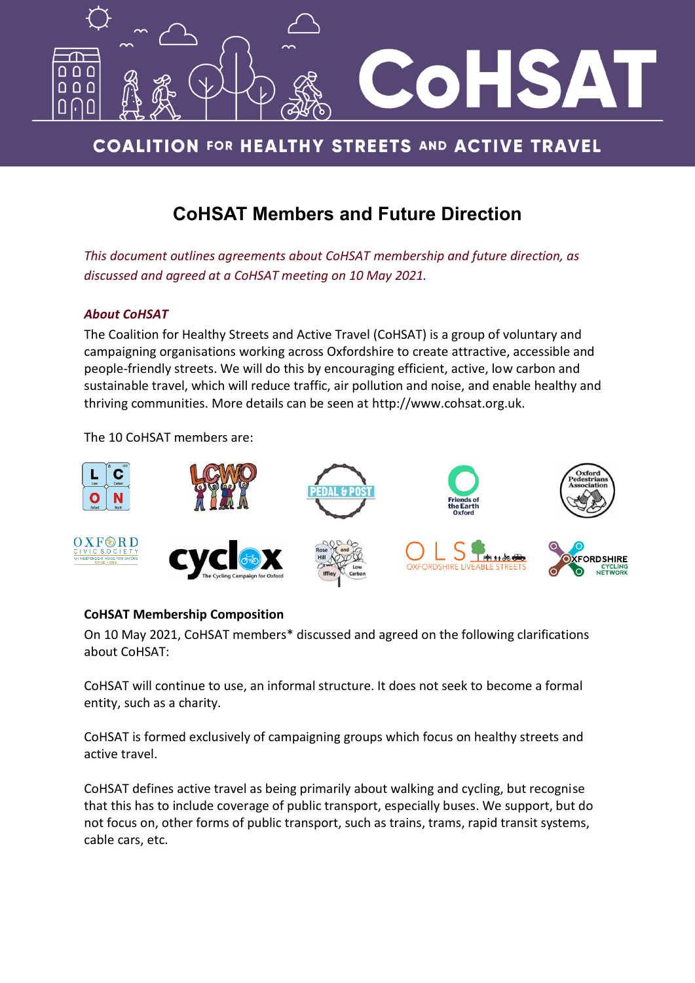

# **COALITION FOR HEALTHY STREETS AND ACTIVE TRAVEL**

# **CoHSAT Members and Future Direction**

*This document outlines agreements about CoHSAT membership and future direction, as discussed and agreed at a CoHSAT meeting on 10 May 2021.*

### *About CoHSAT*

The Coalition for Healthy Streets and Active Travel (CoHSAT) is a group of voluntary and campaigning organisations working across Oxfordshire to create attractive, accessible and people-friendly streets. We will do this by encouraging efficient, active, low carbon and sustainable travel, which will reduce traffic, air pollution and noise, and enable healthy and thriving communities. More details can be seen at [http://www.cohsat.org.uk.](http://www.cohsat.org.uk/)

The 10 CoHSAT members are:



## **CoHSAT Membership Composition**

On 10 May 2021, CoHSAT members\* discussed and agreed on the following clarifications about CoHSAT:

CoHSAT will continue to use, an informal structure. It does not seek to become a formal entity, such as a charity.

CoHSAT is formed exclusively of campaigning groups which focus on healthy streets and active travel.

CoHSAT defines active travel as being primarily about walking and cycling, but recognise that this has to include coverage of public transport, especially buses. We support, but do not focus on, other forms of public transport, such as trains, trams, rapid transit systems, cable cars, etc.